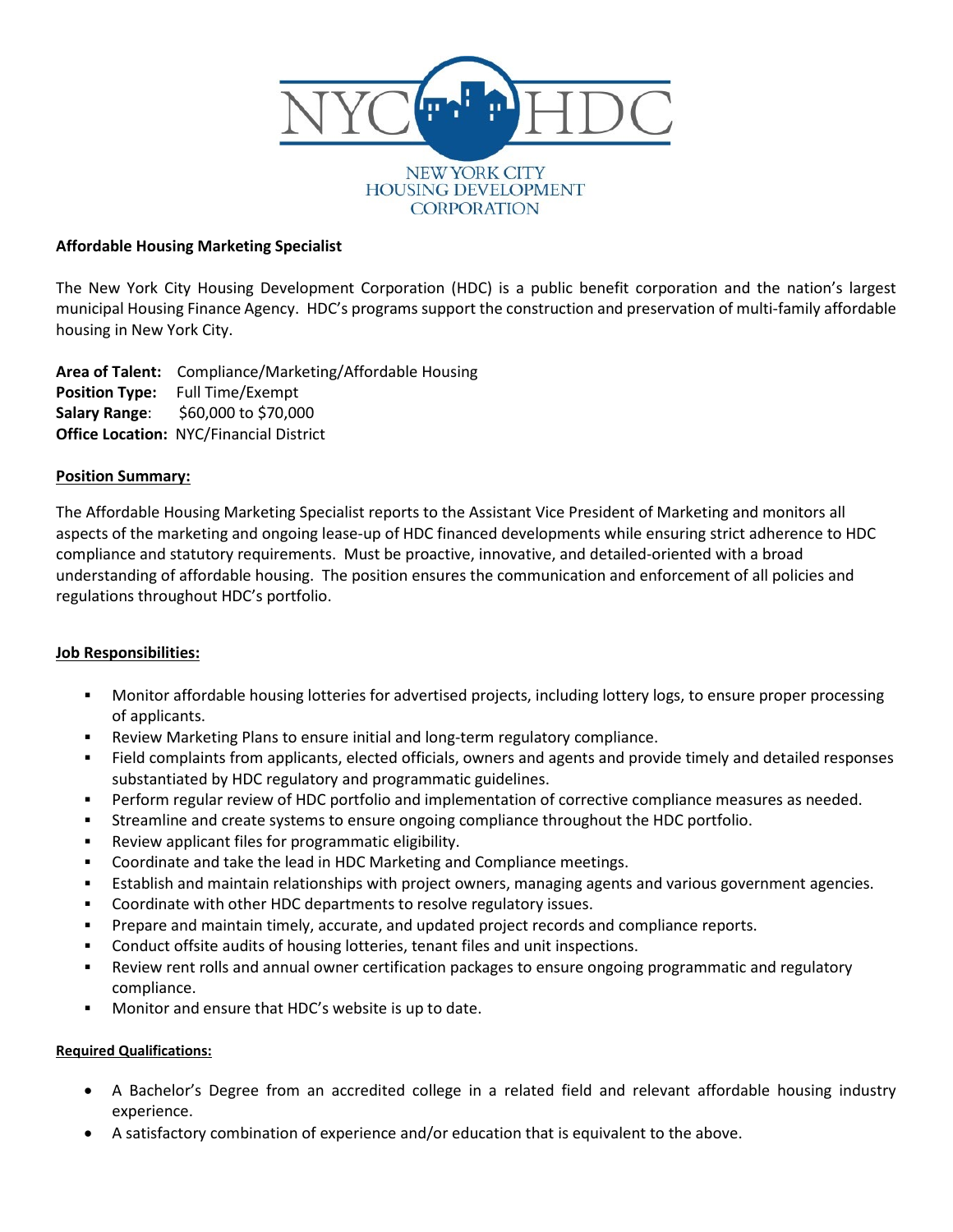

### **Affordable Housing Marketing Specialist**

The New York City Housing Development Corporation (HDC) is a public benefit corporation and the nation's largest municipal Housing Finance Agency. HDC's programs support the construction and preservation of multi-family affordable housing in New York City.

**Area of Talent:** Compliance/Marketing/Affordable Housing **Position Type:** Full Time/Exempt **Salary Range**: \$60,000 to \$70,000 **Office Location:** NYC/Financial District

### **Position Summary:**

The Affordable Housing Marketing Specialist reports to the Assistant Vice President of Marketing and monitors all aspects of the marketing and ongoing lease-up of HDC financed developments while ensuring strict adherence to HDC compliance and statutory requirements. Must be proactive, innovative, and detailed-oriented with a broad understanding of affordable housing. The position ensures the communication and enforcement of all policies and regulations throughout HDC's portfolio.

### **Job Responsibilities:**

- Monitor affordable housing lotteries for advertised projects, including lottery logs, to ensure proper processing of applicants.
- Review Marketing Plans to ensure initial and long-term regulatory compliance.
- Field complaints from applicants, elected officials, owners and agents and provide timely and detailed responses substantiated by HDC regulatory and programmatic guidelines.
- Perform regular review of HDC portfolio and implementation of corrective compliance measures as needed.
- Streamline and create systems to ensure ongoing compliance throughout the HDC portfolio.
- Review applicant files for programmatic eligibility.
- Coordinate and take the lead in HDC Marketing and Compliance meetings.
- Establish and maintain relationships with project owners, managing agents and various government agencies.
- Coordinate with other HDC departments to resolve regulatory issues.
- Prepare and maintain timely, accurate, and updated project records and compliance reports.
- Conduct offsite audits of housing lotteries, tenant files and unit inspections.
- Review rent rolls and annual owner certification packages to ensure ongoing programmatic and regulatory compliance.
- Monitor and ensure that HDC's website is up to date.

# **Required Qualifications:**

- A Bachelor's Degree from an accredited college in a related field and relevant affordable housing industry experience.
- A satisfactory combination of experience and/or education that is equivalent to the above.